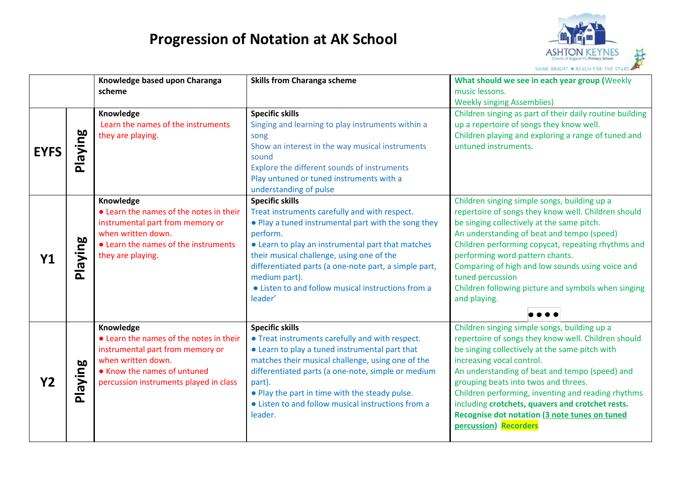

|             |         | Knowledge based upon Charanga<br>scheme                                                                                                                                                 | <b>Skills from Charanga scheme</b>                                                                                                                                                                                                                                                                                                                                                      | What should we see in each year group (Weekly<br>music lessons.<br><b>Weekly singing Assemblies)</b>                                                                                                                                                                                                                                                                                                                                                             |
|-------------|---------|-----------------------------------------------------------------------------------------------------------------------------------------------------------------------------------------|-----------------------------------------------------------------------------------------------------------------------------------------------------------------------------------------------------------------------------------------------------------------------------------------------------------------------------------------------------------------------------------------|------------------------------------------------------------------------------------------------------------------------------------------------------------------------------------------------------------------------------------------------------------------------------------------------------------------------------------------------------------------------------------------------------------------------------------------------------------------|
| <b>EYFS</b> | Playing | Knowledge<br>Learn the names of the instruments<br>they are playing.                                                                                                                    | <b>Specific skills</b><br>Singing and learning to play instruments within a<br>song<br>Show an interest in the way musical instruments<br>sound<br>Explore the different sounds of instruments<br>Play untuned or tuned instruments with a<br>understanding of pulse                                                                                                                    | Children singing as part of their daily routine building<br>up a repertoire of songs they know well.<br>Children playing and exploring a range of tuned and<br>untuned instruments.                                                                                                                                                                                                                                                                              |
| Y1          | Playing | Knowledge<br>• Learn the names of the notes in their<br>instrumental part from memory or<br>when written down.<br>• Learn the names of the instruments<br>they are playing.             | <b>Specific skills</b><br>Treat instruments carefully and with respect.<br>. Play a tuned instrumental part with the song they<br>perform.<br>• Learn to play an instrumental part that matches<br>their musical challenge, using one of the<br>differentiated parts (a one-note part, a simple part,<br>medium part).<br>• Listen to and follow musical instructions from a<br>leader' | Children singing simple songs, building up a<br>repertoire of songs they know well. Children should<br>be singing collectively at the same pitch.<br>An understanding of beat and tempo (speed)<br>Children performing copycat, repeating rhythms and<br>performing word pattern chants.<br>Comparing of high and low sounds using voice and<br>tuned percussion<br>Children following picture and symbols when singing<br>and playing.                          |
| Y2          | Playing | Knowledge<br>• Learn the names of the notes in their<br>instrumental part from memory or<br>when written down.<br>• Know the names of untuned<br>percussion instruments played in class | <b>Specific skills</b><br>• Treat instruments carefully and with respect.<br>• Learn to play a tuned instrumental part that<br>matches their musical challenge, using one of the<br>differentiated parts (a one-note, simple or medium<br>part).<br>. Play the part in time with the steady pulse.<br>• Listen to and follow musical instructions from a<br>leader.                     | Children singing simple songs, building up a<br>repertoire of songs they know well. Children should<br>be singing collectively at the same pitch with<br>increasing vocal control.<br>An understanding of beat and tempo (speed) and<br>grouping beats into twos and threes.<br>Children performing, inventing and reading rhythms<br>including crotchets, quavers and crotchet rests.<br>Recognise dot notation (3 note tunes on tuned<br>percussion) Recorders |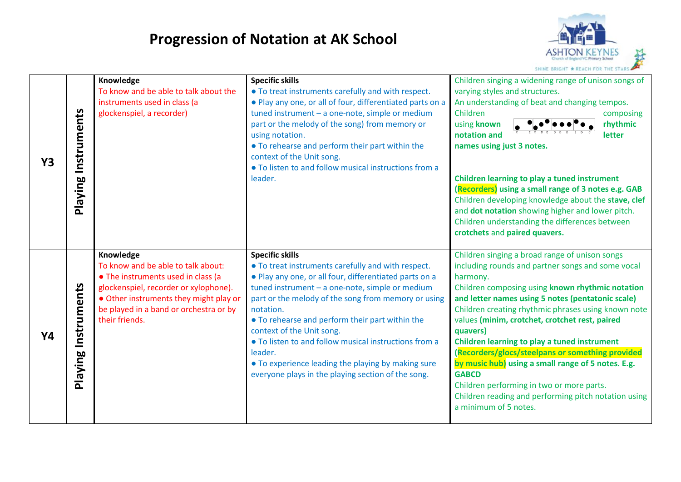

| <b>Y3</b> | Playing Instruments | Knowledge<br>To know and be able to talk about the<br>instruments used in class (a<br>glockenspiel, a recorder)                                                                                                                      | <b>Specific skills</b><br>• To treat instruments carefully and with respect.<br>. Play any one, or all of four, differentiated parts on a<br>tuned instrument - a one-note, simple or medium<br>part or the melody of the song) from memory or<br>using notation.<br>• To rehearse and perform their part within the<br>context of the Unit song.<br>• To listen to and follow musical instructions from a<br>leader.                                                                                                         | Children singing a widening range of unison songs of<br>varying styles and structures.<br>An understanding of beat and changing tempos.<br>Children<br>composing<br>rhythmic<br>using known<br>notation and<br>letter<br>names using just 3 notes.<br>Children learning to play a tuned instrument<br>(Recorders) using a small range of 3 notes e.g. GAB<br>Children developing knowledge about the stave, clef<br>and dot notation showing higher and lower pitch.<br>Children understanding the differences between<br>crotchets and paired quavers.                                                                                               |
|-----------|---------------------|--------------------------------------------------------------------------------------------------------------------------------------------------------------------------------------------------------------------------------------|-------------------------------------------------------------------------------------------------------------------------------------------------------------------------------------------------------------------------------------------------------------------------------------------------------------------------------------------------------------------------------------------------------------------------------------------------------------------------------------------------------------------------------|-------------------------------------------------------------------------------------------------------------------------------------------------------------------------------------------------------------------------------------------------------------------------------------------------------------------------------------------------------------------------------------------------------------------------------------------------------------------------------------------------------------------------------------------------------------------------------------------------------------------------------------------------------|
| Y4        | Playing Instruments | Knowledge<br>To know and be able to talk about:<br>• The instruments used in class (a<br>glockenspiel, recorder or xylophone).<br>• Other instruments they might play or<br>be played in a band or orchestra or by<br>their friends. | <b>Specific skills</b><br>• To treat instruments carefully and with respect.<br>. Play any one, or all four, differentiated parts on a<br>tuned instrument - a one-note, simple or medium<br>part or the melody of the song from memory or using<br>notation.<br>• To rehearse and perform their part within the<br>context of the Unit song.<br>• To listen to and follow musical instructions from a<br>leader.<br>• To experience leading the playing by making sure<br>everyone plays in the playing section of the song. | Children singing a broad range of unison songs<br>including rounds and partner songs and some vocal<br>harmony.<br>Children composing using known rhythmic notation<br>and letter names using 5 notes (pentatonic scale)<br>Children creating rhythmic phrases using known note<br>values (minim, crotchet, crotchet rest, paired<br>quavers)<br>Children learning to play a tuned instrument<br>(Recorders/glocs/steelpans or something provided<br>by music hub) using a small range of 5 notes. E.g.<br><b>GABCD</b><br>Children performing in two or more parts.<br>Children reading and performing pitch notation using<br>a minimum of 5 notes. |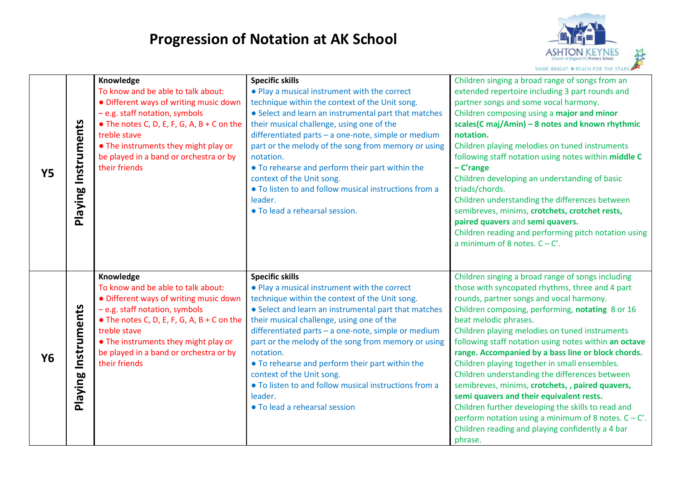

| <b>Y5</b> | Playing Instruments | Knowledge<br>To know and be able to talk about:<br>· Different ways of writing music down<br>- e.g. staff notation, symbols<br>$\bullet$ The notes C, D, E, F, G, A, B + C on the<br>treble stave<br>• The instruments they might play or<br>be played in a band or orchestra or by<br>their friends | <b>Specific skills</b><br>• Play a musical instrument with the correct<br>technique within the context of the Unit song.<br>• Select and learn an instrumental part that matches<br>their musical challenge, using one of the<br>differentiated parts - a one-note, simple or medium<br>part or the melody of the song from memory or using<br>notation.<br>• To rehearse and perform their part within the<br>context of the Unit song.<br>. To listen to and follow musical instructions from a<br>leader.<br>· To lead a rehearsal session. | Children singing a broad range of songs from an<br>extended repertoire including 3 part rounds and<br>partner songs and some vocal harmony.<br>Children composing using a major and minor<br>scales(C maj/Amin) - 8 notes and known rhythmic<br>notation.<br>Children playing melodies on tuned instruments<br>following staff notation using notes within middle C<br>$-C'$ range<br>Children developing an understanding of basic<br>triads/chords.<br>Children understanding the differences between<br>semibreves, minims, crotchets, crotchet rests,<br>paired quavers and semi quavers.<br>Children reading and performing pitch notation using<br>a minimum of 8 notes. $C - C'$ .                                                                                         |
|-----------|---------------------|------------------------------------------------------------------------------------------------------------------------------------------------------------------------------------------------------------------------------------------------------------------------------------------------------|------------------------------------------------------------------------------------------------------------------------------------------------------------------------------------------------------------------------------------------------------------------------------------------------------------------------------------------------------------------------------------------------------------------------------------------------------------------------------------------------------------------------------------------------|-----------------------------------------------------------------------------------------------------------------------------------------------------------------------------------------------------------------------------------------------------------------------------------------------------------------------------------------------------------------------------------------------------------------------------------------------------------------------------------------------------------------------------------------------------------------------------------------------------------------------------------------------------------------------------------------------------------------------------------------------------------------------------------|
| <b>Y6</b> | Playing Instruments | Knowledge<br>To know and be able to talk about:<br>• Different ways of writing music down<br>- e.g. staff notation, symbols<br>$\bullet$ The notes C, D, E, F, G, A, B + C on the<br>treble stave<br>• The instruments they might play or<br>be played in a band or orchestra or by<br>their friends | <b>Specific skills</b><br>• Play a musical instrument with the correct<br>technique within the context of the Unit song.<br>• Select and learn an instrumental part that matches<br>their musical challenge, using one of the<br>differentiated parts - a one-note, simple or medium<br>part or the melody of the song from memory or using<br>notation.<br>• To rehearse and perform their part within the<br>context of the Unit song.<br>. To listen to and follow musical instructions from a<br>leader.<br>• To lead a rehearsal session  | Children singing a broad range of songs including<br>those with syncopated rhythms, three and 4 part<br>rounds, partner songs and vocal harmony.<br>Children composing, performing, notating 8 or 16<br>beat melodic phrases.<br>Children playing melodies on tuned instruments<br>following staff notation using notes within an octave<br>range. Accompanied by a bass line or block chords.<br>Children playing together in small ensembles.<br>Children understanding the differences between<br>semibreves, minims, crotchets, , paired quavers,<br>semi quavers and their equivalent rests.<br>Children further developing the skills to read and<br>perform notation using a minimum of 8 notes. $C - C'$ .<br>Children reading and playing confidently a 4 bar<br>phrase. |